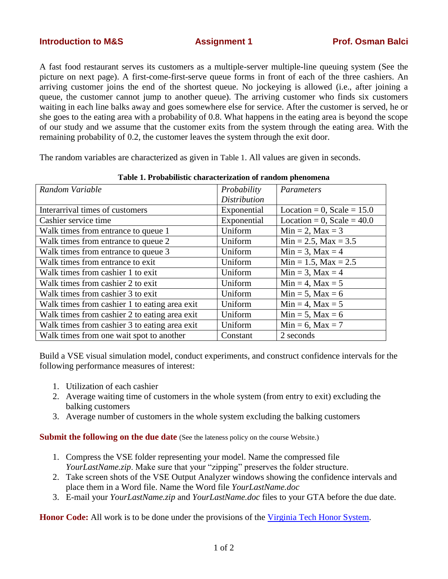A fast food restaurant serves its customers as a multiple-server multiple-line queuing system (See the picture on next page). A first-come-first-serve queue forms in front of each of the three cashiers. An arriving customer joins the end of the shortest queue. No jockeying is allowed (i.e., after joining a queue, the customer cannot jump to another queue). The arriving customer who finds six customers waiting in each line balks away and goes somewhere else for service. After the customer is served, he or she goes to the eating area with a probability of 0.8. What happens in the eating area is beyond the scope of our study and we assume that the customer exits from the system through the eating area. With the remaining probability of 0.2, the customer leaves the system through the exit door.

The random variables are characterized as given in [Table 1](#page-0-0). All values are given in seconds.

<span id="page-0-0"></span>

| Random Variable                               | Probability         | Parameters                    |
|-----------------------------------------------|---------------------|-------------------------------|
|                                               | <b>Distribution</b> |                               |
| Interarrival times of customers               | Exponential         | Location = $0$ , Scale = 15.0 |
| Cashier service time                          | Exponential         | Location = 0, Scale = $40.0$  |
| Walk times from entrance to queue 1           | Uniform             | $Min = 2$ , $Max = 3$         |
| Walk times from entrance to queue 2           | Uniform             | $Min = 2.5$ , $Max = 3.5$     |
| Walk times from entrance to queue 3           | Uniform             | $Min = 3$ , $Max = 4$         |
| Walk times from entrance to exit              | Uniform             | $Min = 1.5$ , $Max = 2.5$     |
| Walk times from cashier 1 to exit             | Uniform             | $Min = 3$ , $Max = 4$         |
| Walk times from cashier 2 to exit             | Uniform             | $Min = 4$ , $Max = 5$         |
| Walk times from cashier 3 to exit             | Uniform             | $Min = 5$ , $Max = 6$         |
| Walk times from cashier 1 to eating area exit | Uniform             | $Min = 4$ , $Max = 5$         |
| Walk times from cashier 2 to eating area exit | Uniform             | $Min = 5$ , $Max = 6$         |
| Walk times from cashier 3 to eating area exit | Uniform             | $Min = 6$ , $Max = 7$         |
| Walk times from one wait spot to another      | Constant            | 2 seconds                     |

**Table 1. Probabilistic characterization of random phenomena**

Build a VSE visual simulation model, conduct experiments, and construct confidence intervals for the following performance measures of interest:

- 1. Utilization of each cashier
- 2. Average waiting time of customers in the whole system (from entry to exit) excluding the balking customers
- 3. Average number of customers in the whole system excluding the balking customers

**Submit the following on the due date** (See the lateness policy on the course Website.)

- 1. Compress the VSE folder representing your model. Name the compressed file *YourLastName.zip*. Make sure that your "zipping" preserves the folder structure.
- 2. Take screen shots of the VSE Output Analyzer windows showing the confidence intervals and place them in a Word file. Name the Word file *YourLastName.doc*
- 3. E-mail your *YourLastName.zip* and *YourLastName.doc* files to your GTA before the due date.

**Honor Code:** All work is to be done under the provisions of the [Virginia Tech Honor System.](http://www.honorsystem.vt.edu/)